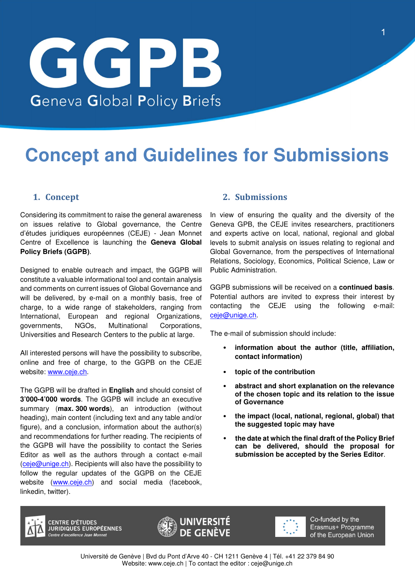# GGPB Geneva Global Policy Briefs

# **Concept and Guidelines for Submissions**

## **1. Concept**

Considering its commitment to raise the general awareness on issues relative to Global governance, the Centre d'études juridiques européennes (CEJE) - Jean Monnet Centre of Excellence is launching the **Geneva Global Policy Briefs (GGPB)**.

Designed to enable outreach and impact, the GGPB will constitute a valuable informational tool and contain analysis and comments on current issues of Global Governance and will be delivered, by e-mail on a monthly basis, free of charge, to a wide range of stakeholders, ranging from International, European and regional Organizations, governments, NGOs, Multinational Corporations, Universities and Research Centers to the public at large.

All interested persons will have the possibility to subscribe, online and free of charge, to the GGPB on the CEJE website: www.ceje.ch.

The GGPB will be drafted in **English** and should consist of **3'000-4'000 words**. The GGPB will include an executive summary (**max. 300 words**), an introduction (without heading), main content (including text and any table and/or figure), and a conclusion, information about the author(s) and recommendations for further reading. The recipients of the GGPB will have the possibility to contact the Series Editor as well as the authors through a contact e-mail  $(ceie@unique.ch)$ . Recipients will also have the possibility to follow the regular updates of the GGPB on the CEJE website (www.ceje.ch) and social media (facebook, linkedin, twitter).

### **2. Submissions**

In view of ensuring the quality and the diversity of the Geneva GPB, the CEJE invites researchers, practitioners and experts active on local, national, regional and global levels to submit analysis on issues relating to regional and Global Governance, from the perspectives of International Relations, Sociology, Economics, Political Science, Law or Public Administration.

GGPB submissions will be received on a **continued basis**. Potential authors are invited to express their interest by contacting the CEJE using the following e-mail: ceje@unige.ch.

The e-mail of submission should include:

- • **information about the author (title, affiliation, contact information)**
- • **topic of the contribution**
- • **abstract and short explanation on the relevance of the chosen topic and its relation to the issue of Governance**
- • **the impact (local, national, regional, global) that the suggested topic may have**
- • **the date at which the final draft of the Policy Brief can be delivered, should the proposal for submission be accepted by the Series Editor**.



**CENTRE D'ÉTUDES JURIDIQUES EUROPÉENNES** .<br>Centre d'excellence, lean Monnet





Co-funded by the Erasmus+ Programme of the European Union

Université de Genève | Bvd du Pont d'Arve 40 - CH 1211 Genève 4 | Tél. +41 22 379 84 90 Website: www.ceje.ch | To contact the editor : ceje@unige.ch